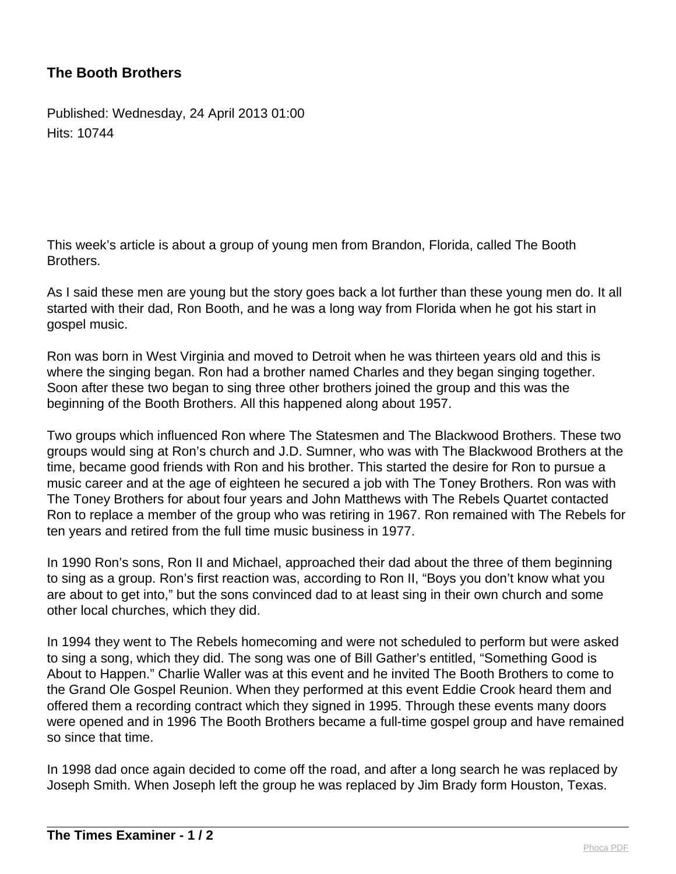## **The Booth Brothers**

Published: Wednesday, 24 April 2013 01:00 Hits: 10744

This week's article is about a group of young men from Brandon, Florida, called The Booth Brothers.

As I said these men are young but the story goes back a lot further than these young men do. It all started with their dad, Ron Booth, and he was a long way from Florida when he got his start in gospel music.

Ron was born in West Virginia and moved to Detroit when he was thirteen years old and this is where the singing began. Ron had a brother named Charles and they began singing together. Soon after these two began to sing three other brothers joined the group and this was the beginning of the Booth Brothers. All this happened along about 1957.

Two groups which influenced Ron where The Statesmen and The Blackwood Brothers. These two groups would sing at Ron's church and J.D. Sumner, who was with The Blackwood Brothers at the time, became good friends with Ron and his brother. This started the desire for Ron to pursue a music career and at the age of eighteen he secured a job with The Toney Brothers. Ron was with The Toney Brothers for about four years and John Matthews with The Rebels Quartet contacted Ron to replace a member of the group who was retiring in 1967. Ron remained with The Rebels for ten years and retired from the full time music business in 1977.

In 1990 Ron's sons, Ron II and Michael, approached their dad about the three of them beginning to sing as a group. Ron's first reaction was, according to Ron II, "Boys you don't know what you are about to get into," but the sons convinced dad to at least sing in their own church and some other local churches, which they did.

In 1994 they went to The Rebels homecoming and were not scheduled to perform but were asked to sing a song, which they did. The song was one of Bill Gather's entitled, "Something Good is About to Happen." Charlie Waller was at this event and he invited The Booth Brothers to come to the Grand Ole Gospel Reunion. When they performed at this event Eddie Crook heard them and offered them a recording contract which they signed in 1995. Through these events many doors were opened and in 1996 The Booth Brothers became a full-time gospel group and have remained so since that time.

In 1998 dad once again decided to come off the road, and after a long search he was replaced by Joseph Smith. When Joseph left the group he was replaced by Jim Brady form Houston, Texas.